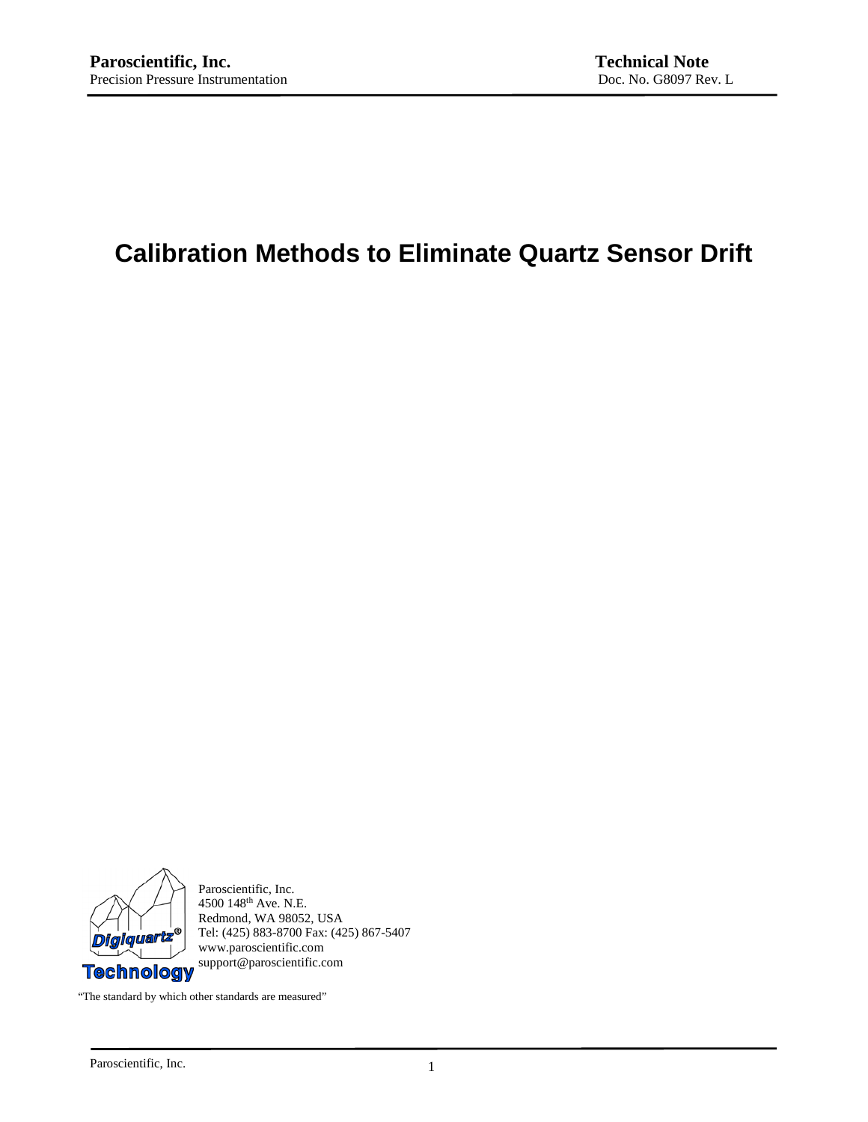# **Calibration Methods to Eliminate Quartz Sensor Drift**



Paroscientific, Inc. 4500 148th Ave. N.E. Redmond, WA 98052, USA Tel: (425) 883-8700 Fax: (425) 867-5407 www.paroscientific.com support@paroscientific.com

"The standard by which other standards are measured"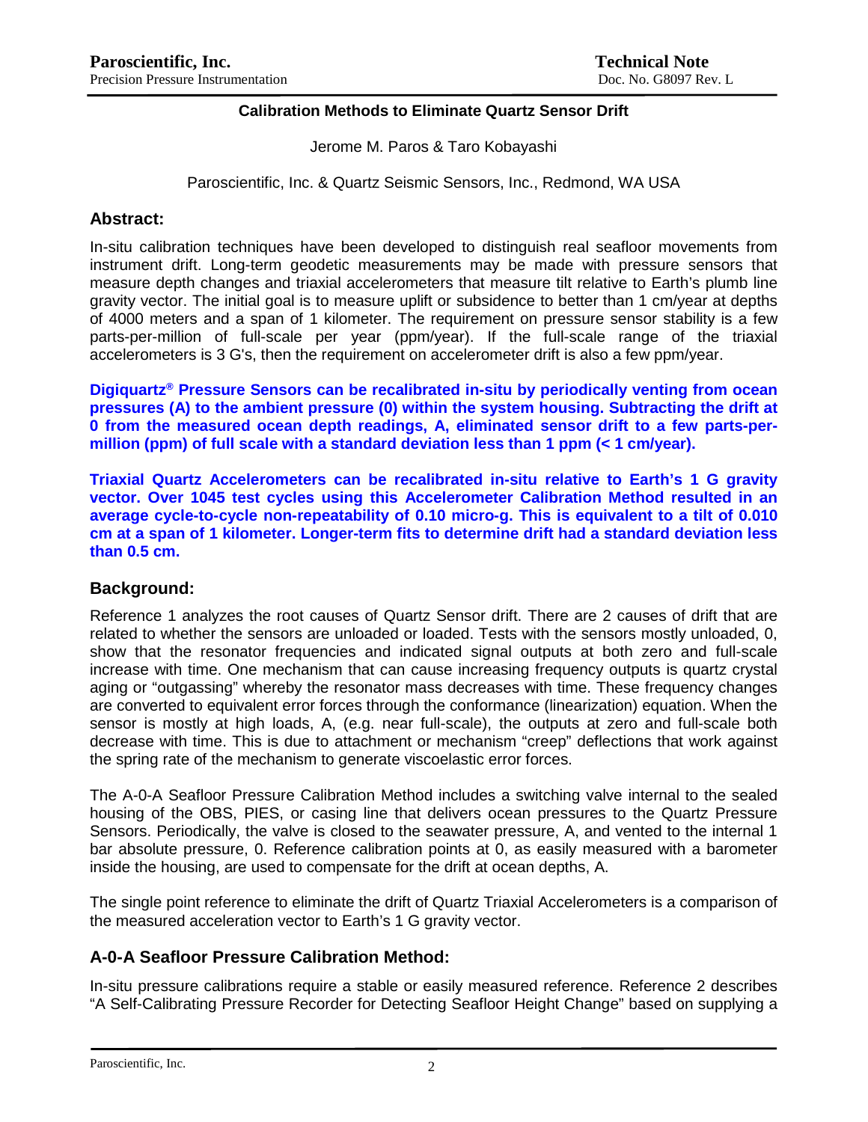### **Calibration Methods to Eliminate Quartz Sensor Drift**

Jerome M. Paros & Taro Kobayashi

Paroscientific, Inc. & Quartz Seismic Sensors, Inc., Redmond, WA USA

### **Abstract:**

In-situ calibration techniques have been developed to distinguish real seafloor movements from instrument drift. Long-term geodetic measurements may be made with pressure sensors that measure depth changes and triaxial accelerometers that measure tilt relative to Earth's plumb line gravity vector. The initial goal is to measure uplift or subsidence to better than 1 cm/year at depths of 4000 meters and a span of 1 kilometer. The requirement on pressure sensor stability is a few parts-per-million of full-scale per year (ppm/year). If the full-scale range of the triaxial accelerometers is 3 G's, then the requirement on accelerometer drift is also a few ppm/year.

**Digiquartz® Pressure Sensors can be recalibrated in-situ by periodically venting from ocean pressures (A) to the ambient pressure (0) within the system housing. Subtracting the drift at 0 from the measured ocean depth readings, A, eliminated sensor drift to a few parts-permillion (ppm) of full scale with a standard deviation less than 1 ppm (< 1 cm/year).**

**Triaxial Quartz Accelerometers can be recalibrated in-situ relative to Earth's 1 G gravity vector. Over 1045 test cycles using this Accelerometer Calibration Method resulted in an average cycle-to-cycle non-repeatability of 0.10 micro-g. This is equivalent to a tilt of 0.010 cm at a span of 1 kilometer. Longer-term fits to determine drift had a standard deviation less than 0.5 cm.** 

### **Background:**

Reference 1 analyzes the root causes of Quartz Sensor drift. There are 2 causes of drift that are related to whether the sensors are unloaded or loaded. Tests with the sensors mostly unloaded, 0, show that the resonator frequencies and indicated signal outputs at both zero and full-scale increase with time. One mechanism that can cause increasing frequency outputs is quartz crystal aging or "outgassing" whereby the resonator mass decreases with time. These frequency changes are converted to equivalent error forces through the conformance (linearization) equation. When the sensor is mostly at high loads, A, (e.g. near full-scale), the outputs at zero and full-scale both decrease with time. This is due to attachment or mechanism "creep" deflections that work against the spring rate of the mechanism to generate viscoelastic error forces.

The A-0-A Seafloor Pressure Calibration Method includes a switching valve internal to the sealed housing of the OBS, PIES, or casing line that delivers ocean pressures to the Quartz Pressure Sensors. Periodically, the valve is closed to the seawater pressure, A, and vented to the internal 1 bar absolute pressure, 0. Reference calibration points at 0, as easily measured with a barometer inside the housing, are used to compensate for the drift at ocean depths, A.

The single point reference to eliminate the drift of Quartz Triaxial Accelerometers is a comparison of the measured acceleration vector to Earth's 1 G gravity vector.

### **A-0-A Seafloor Pressure Calibration Method:**

In-situ pressure calibrations require a stable or easily measured reference. Reference 2 describes "A Self-Calibrating Pressure Recorder for Detecting Seafloor Height Change" based on supplying a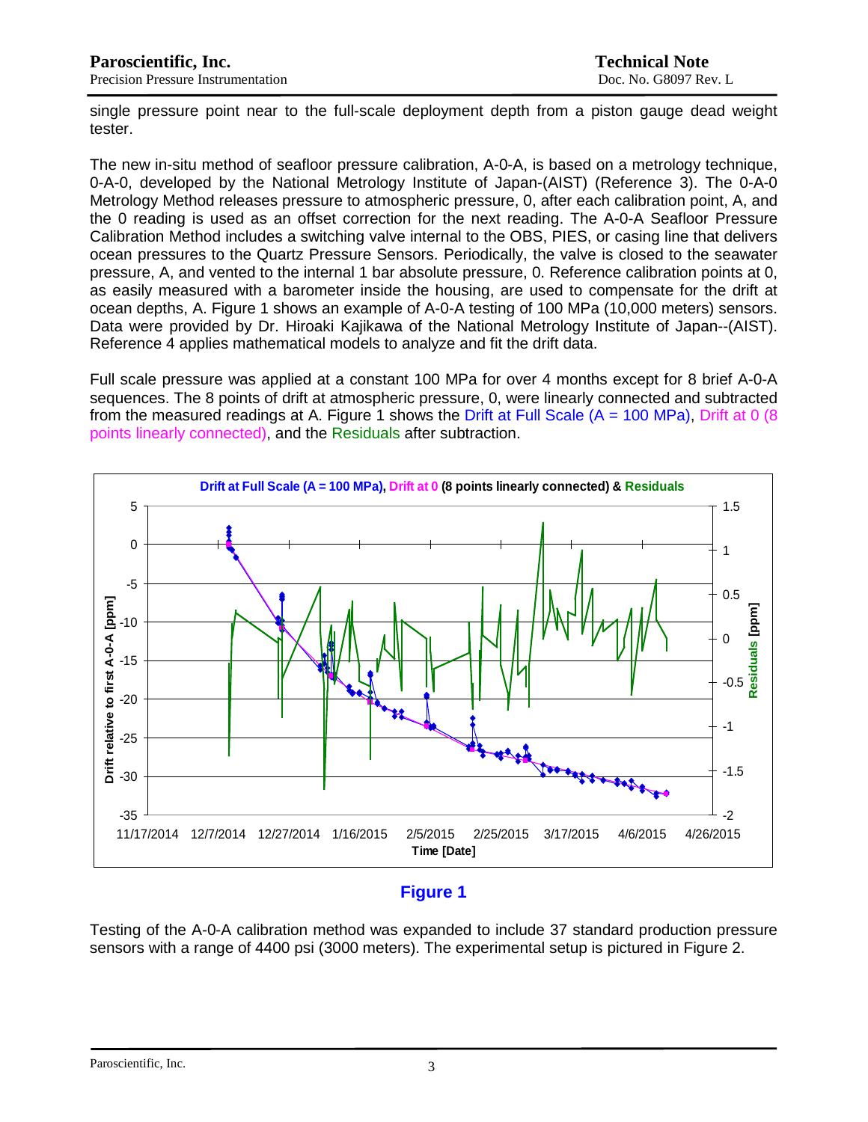single pressure point near to the full-scale deployment depth from a piston gauge dead weight tester.

The new in-situ method of seafloor pressure calibration, A-0-A, is based on a metrology technique, 0-A-0, developed by the National Metrology Institute of Japan-(AIST) (Reference 3). The 0-A-0 Metrology Method releases pressure to atmospheric pressure, 0, after each calibration point, A, and the 0 reading is used as an offset correction for the next reading. The A-0-A Seafloor Pressure Calibration Method includes a switching valve internal to the OBS, PIES, or casing line that delivers ocean pressures to the Quartz Pressure Sensors. Periodically, the valve is closed to the seawater pressure, A, and vented to the internal 1 bar absolute pressure, 0. Reference calibration points at 0, as easily measured with a barometer inside the housing, are used to compensate for the drift at ocean depths, A. Figure 1 shows an example of A-0-A testing of 100 MPa (10,000 meters) sensors. Data were provided by Dr. Hiroaki Kajikawa of the National Metrology Institute of Japan--(AIST). Reference 4 applies mathematical models to analyze and fit the drift data.

Full scale pressure was applied at a constant 100 MPa for over 4 months except for 8 brief A-0-A sequences. The 8 points of drift at atmospheric pressure, 0, were linearly connected and subtracted from the measured readings at A. Figure 1 shows the Drift at Full Scale  $(A = 100 \text{ MPa})$ . Drift at 0 (8) points linearly connected), and the Residuals after subtraction.



# **Figure 1**

Testing of the A-0-A calibration method was expanded to include 37 standard production pressure sensors with a range of 4400 psi (3000 meters). The experimental setup is pictured in Figure 2.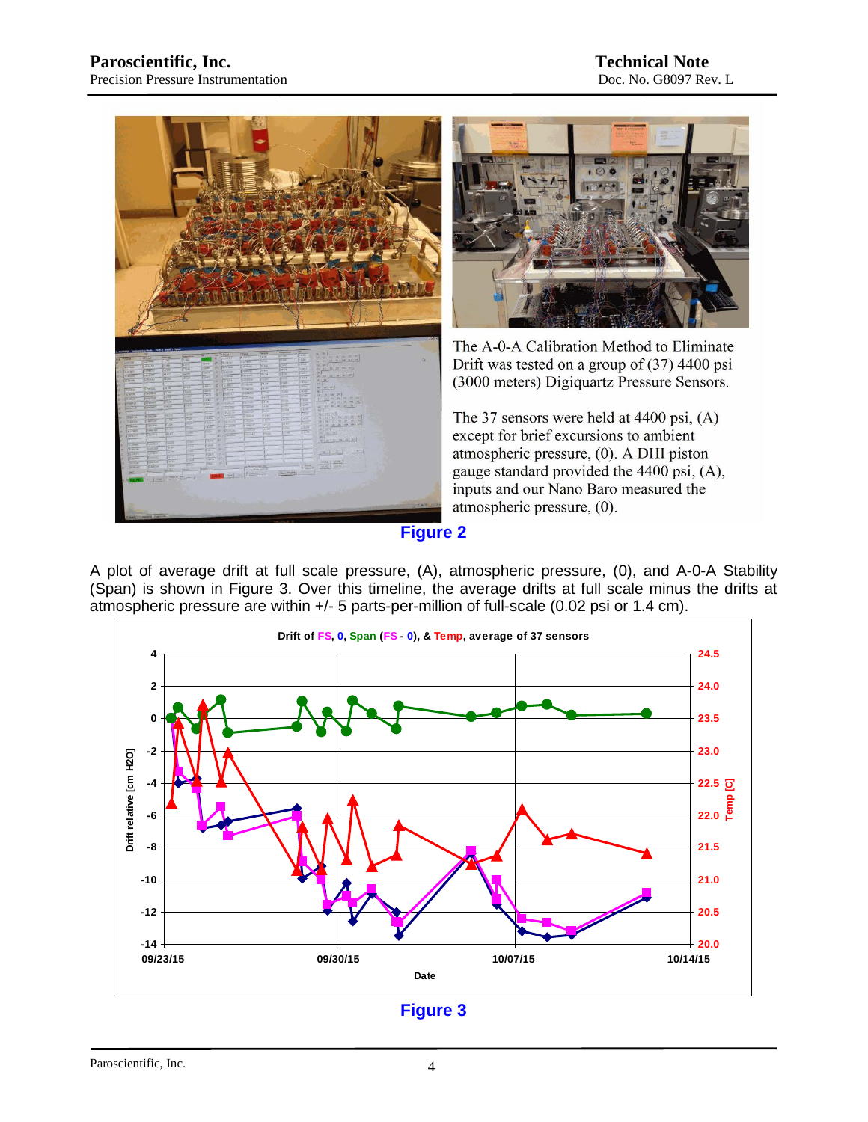



The A-0-A Calibration Method to Eliminate Drift was tested on a group of  $(37)$  4400 psi (3000 meters) Digiquartz Pressure Sensors.

The 37 sensors were held at 4400 psi,  $(A)$ except for brief excursions to ambient atmospheric pressure, (0). A DHI piston gauge standard provided the 4400 psi, (A), inputs and our Nano Baro measured the atmospheric pressure, (0).

**Figure 2**

A plot of average drift at full scale pressure, (A), atmospheric pressure, (0), and A-0-A Stability (Span) is shown in Figure 3. Over this timeline, the average drifts at full scale minus the drifts at atmospheric pressure are within +/- 5 parts-per-million of full-scale (0.02 psi or 1.4 cm).



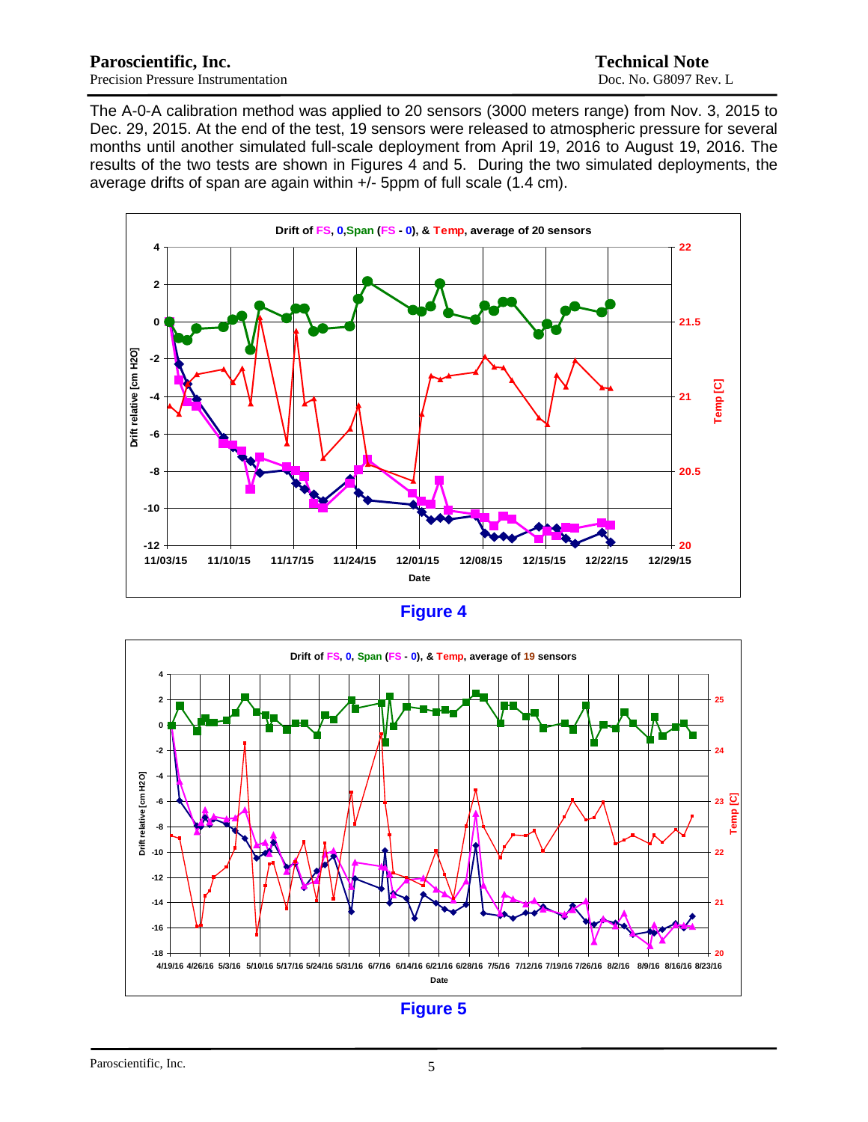The A-0-A calibration method was applied to 20 sensors (3000 meters range) from Nov. 3, 2015 to Dec. 29, 2015. At the end of the test, 19 sensors were released to atmospheric pressure for several months until another simulated full-scale deployment from April 19, 2016 to August 19, 2016. The results of the two tests are shown in Figures 4 and 5. During the two simulated deployments, the average drifts of span are again within  $+/-$  5ppm of full scale (1.4 cm).



| ан |  |
|----|--|
|----|--|

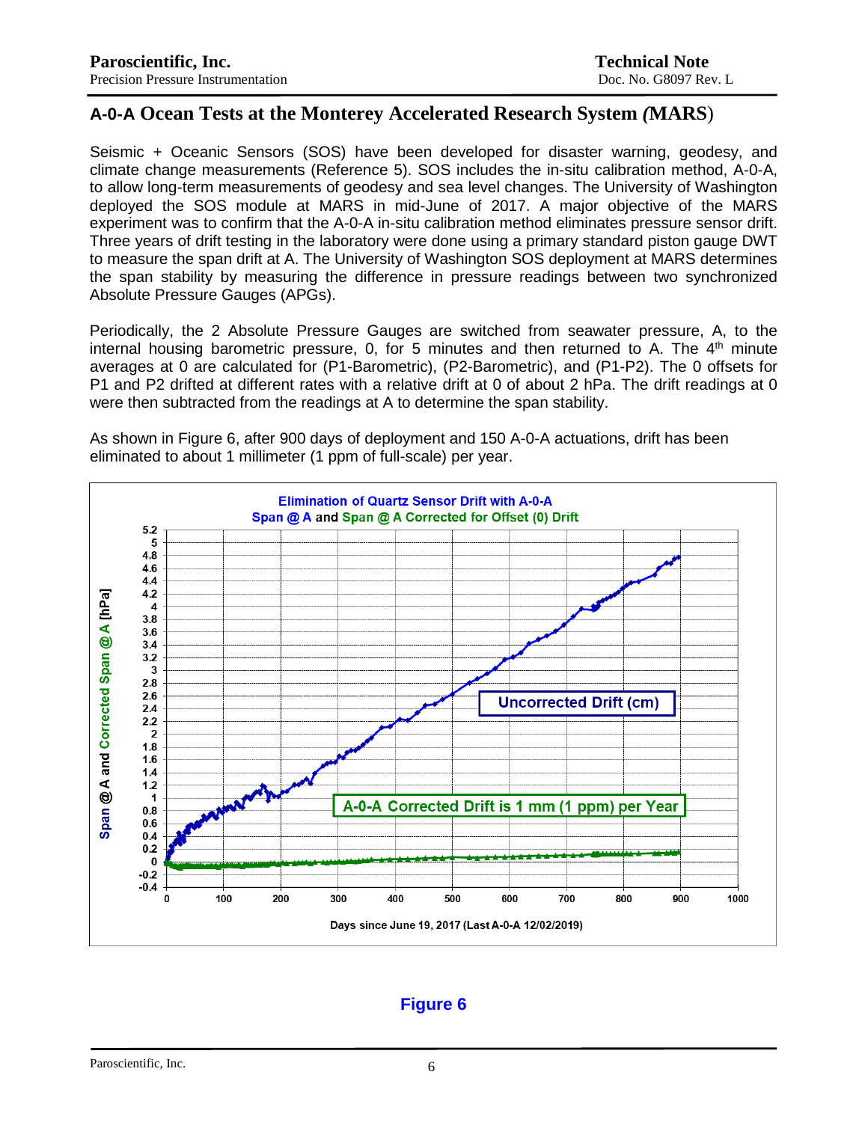# **A-0-A Ocean Tests at the Monterey Accelerated Research System** *(***MARS**)

Seismic + Oceanic Sensors (SOS) have been developed for disaster warning, geodesy, and climate change measurements (Reference 5). SOS includes the in-situ calibration method, A-0-A, to allow long-term measurements of geodesy and sea level changes. The University of Washington deployed the SOS module at MARS in mid-June of 2017. A major objective of the MARS experiment was to confirm that the A-0-A in-situ calibration method eliminates pressure sensor drift. Three years of drift testing in the laboratory were done using a primary standard piston gauge DWT to measure the span drift at A. The University of Washington SOS deployment at MARS determines the span stability by measuring the difference in pressure readings between two synchronized Absolute Pressure Gauges (APGs).

Periodically, the 2 Absolute Pressure Gauges are switched from seawater pressure, A, to the internal housing barometric pressure, 0, for 5 minutes and then returned to A. The  $4<sup>th</sup>$  minute averages at 0 are calculated for (P1-Barometric), (P2-Barometric), and (P1-P2). The 0 offsets for P1 and P2 drifted at different rates with a relative drift at 0 of about 2 hPa. The drift readings at 0 were then subtracted from the readings at A to determine the span stability.



As shown in Figure 6, after 900 days of deployment and 150 A-0-A actuations, drift has been eliminated to about 1 millimeter (1 ppm of full-scale) per year.

# **Figure 6**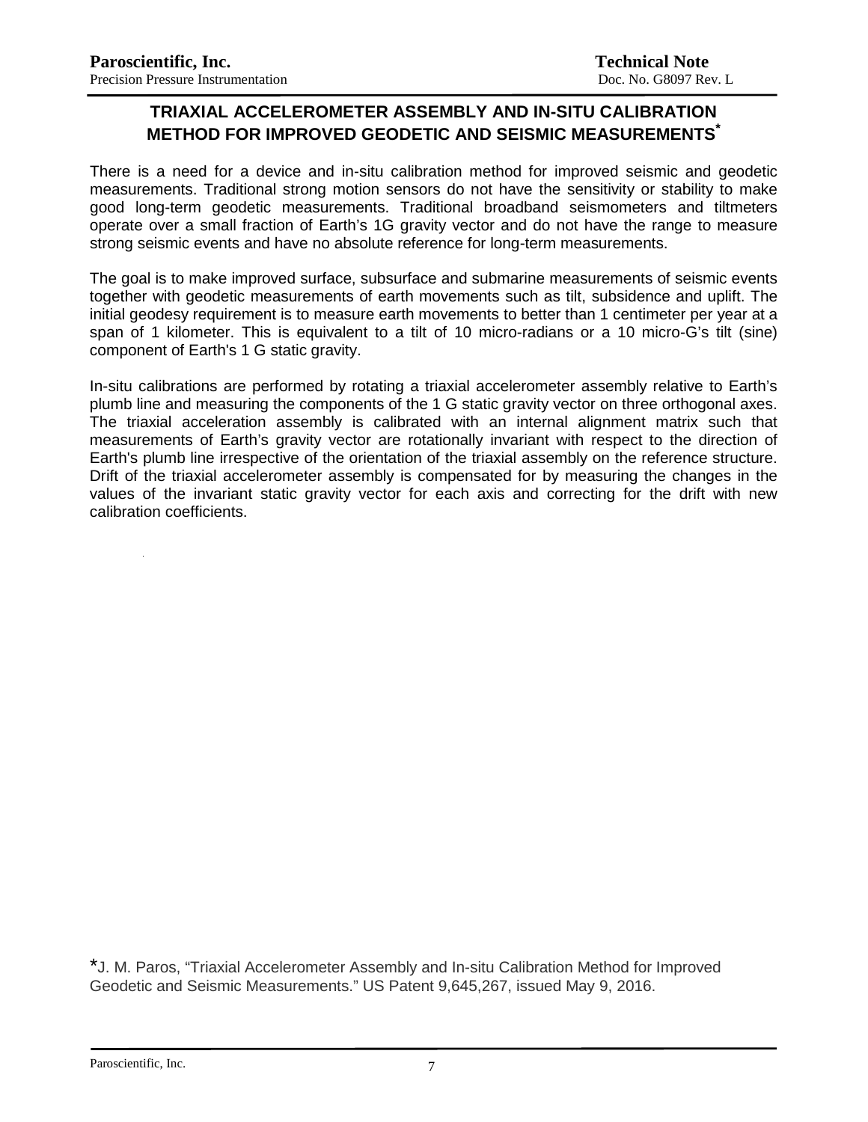# **TRIAXIAL ACCELEROMETER ASSEMBLY AND IN-SITU CALIBRATION METHOD FOR IMPROVED GEODETIC AND SEISMIC MEASUREMENTS\***

There is a need for a device and in-situ calibration method for improved seismic and geodetic measurements. Traditional strong motion sensors do not have the sensitivity or stability to make good long-term geodetic measurements. Traditional broadband seismometers and tiltmeters operate over a small fraction of Earth's 1G gravity vector and do not have the range to measure strong seismic events and have no absolute reference for long-term measurements.

The goal is to make improved surface, subsurface and submarine measurements of seismic events together with geodetic measurements of earth movements such as tilt, subsidence and uplift. The initial geodesy requirement is to measure earth movements to better than 1 centimeter per year at a span of 1 kilometer. This is equivalent to a tilt of 10 micro-radians or a 10 micro-G's tilt (sine) component of Earth's 1 G static gravity.

In-situ calibrations are performed by rotating a triaxial accelerometer assembly relative to Earth's plumb line and measuring the components of the 1 G static gravity vector on three orthogonal axes. The triaxial acceleration assembly is calibrated with an internal alignment matrix such that measurements of Earth's gravity vector are rotationally invariant with respect to the direction of Earth's plumb line irrespective of the orientation of the triaxial assembly on the reference structure. Drift of the triaxial accelerometer assembly is compensated for by measuring the changes in the values of the invariant static gravity vector for each axis and correcting for the drift with new calibration coefficients.

\*J. M. Paros, "Triaxial Accelerometer Assembly and In-situ Calibration Method for Improved Geodetic and Seismic Measurements." US Patent 9,645,267, issued May 9, 2016.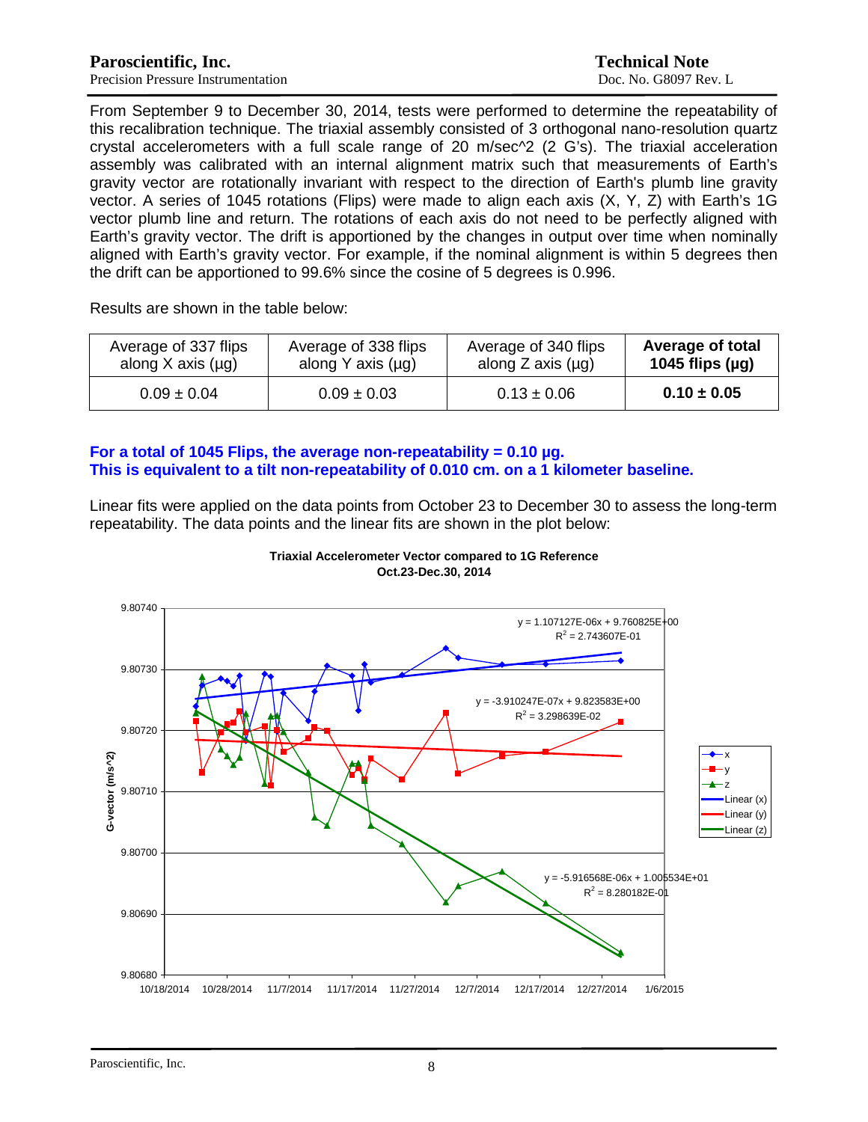From September 9 to December 30, 2014, tests were performed to determine the repeatability of this recalibration technique. The triaxial assembly consisted of 3 orthogonal nano-resolution quartz crystal accelerometers with a full scale range of 20 m/sec^2 (2 G's). The triaxial acceleration assembly was calibrated with an internal alignment matrix such that measurements of Earth's gravity vector are rotationally invariant with respect to the direction of Earth's plumb line gravity vector. A series of 1045 rotations (Flips) were made to align each axis (X, Y, Z) with Earth's 1G vector plumb line and return. The rotations of each axis do not need to be perfectly aligned with Earth's gravity vector. The drift is apportioned by the changes in output over time when nominally aligned with Earth's gravity vector. For example, if the nominal alignment is within 5 degrees then the drift can be apportioned to 99.6% since the cosine of 5 degrees is 0.996.

Results are shown in the table below:

| Average of 337 flips   | Average of 338 flips   | Average of 340 flips   | <b>Average of total</b> |
|------------------------|------------------------|------------------------|-------------------------|
| along X axis $(\mu q)$ | along Y axis $(\mu g)$ | along Z axis $(\mu g)$ | 1045 flips $(\mu g)$    |
| $0.09 \pm 0.04$        | $0.09 \pm 0.03$        | $0.13 \pm 0.06$        | $0.10 \pm 0.05$         |

#### **For a total of 1045 Flips, the average non-repeatability = 0.10 µg. This is equivalent to a tilt non-repeatability of 0.010 cm. on a 1 kilometer baseline.**

Linear fits were applied on the data points from October 23 to December 30 to assess the long-term repeatability. The data points and the linear fits are shown in the plot below:



**Triaxial Accelerometer Vector compared to 1G Reference Oct.23-Dec.30, 2014**